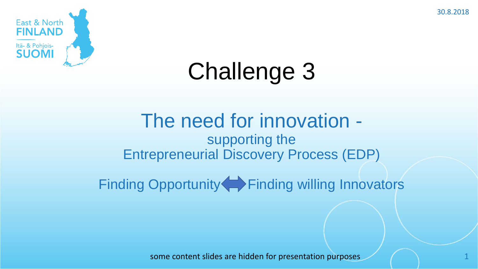30.8.2018



# Challenge 3

### The need for innovation supporting the Entrepreneurial Discovery Process (EDP)

Finding Opportunity Finding willing Innovators

some content slides are hidden for presentation purposes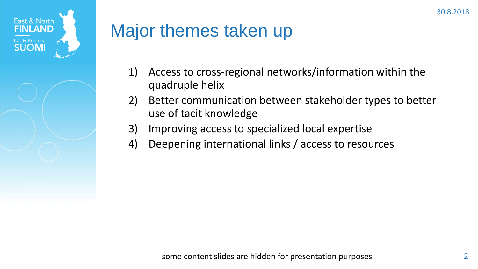



## Major themes taken up

- 1) Access to cross-regional networks/information within the quadruple helix
- 2) Better communication between stakeholder types to better use of tacit knowledge
- 3) Improving access to specialized local expertise
- 4) Deepening international links / access to resources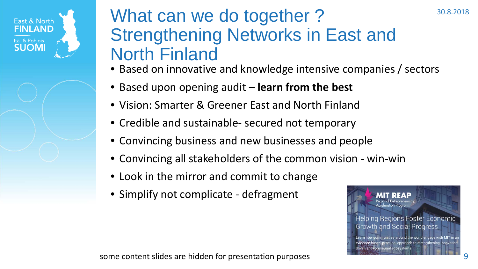#### East & North **FINLAND** Itä- & Pohjois-**SUOMI**

### What can we do together? Strengthening Networks in East and North Finland

- Based on innovative and knowledge intensive companies / sectors
- Based upon opening audit **learn from the best**
- Vision: Smarter & Greener East and North Finland
- Credible and sustainable- secured not temporary
- Convincing business and new businesses and people
- Convincing all stakeholders of the common vision win-win
- Look in the mirror and commit to change
- Simplify not complicate defragment



30.8.2018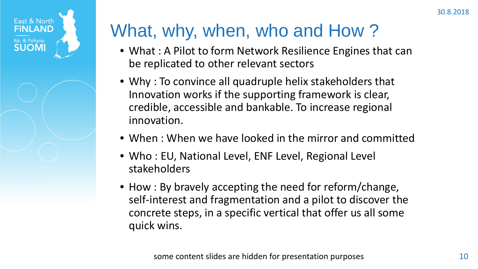

## What, why, when, who and How ?

- What : A Pilot to form Network Resilience Engines that can be replicated to other relevant sectors
- Why : To convince all quadruple helix stakeholders that Innovation works if the supporting framework is clear, credible, accessible and bankable. To increase regional innovation.
- When : When we have looked in the mirror and committed
- Who : EU, National Level, ENF Level, Regional Level stakeholders
- How : By bravely accepting the need for reform/change, self-interest and fragmentation and a pilot to discover the concrete steps, in a specific vertical that offer us all some quick wins.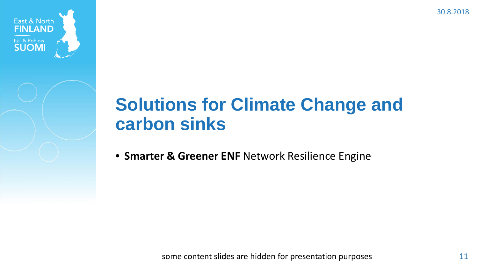30.8.2018



## **Solutions for Climate Change and carbon sinks**

• **Smarter & Greener ENF** Network Resilience Engine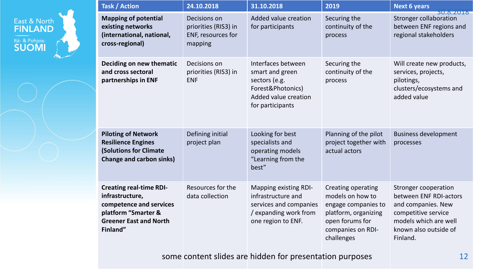|  | <b>Task / Action</b>                                                                                                                             | 24.10.2018                                                            | 31.10.2018                                                                                                              | 2019                                                                                                                                        | <b>Next 6 years</b>                                                                                                                                              |
|--|--------------------------------------------------------------------------------------------------------------------------------------------------|-----------------------------------------------------------------------|-------------------------------------------------------------------------------------------------------------------------|---------------------------------------------------------------------------------------------------------------------------------------------|------------------------------------------------------------------------------------------------------------------------------------------------------------------|
|  | <b>Mapping of potential</b><br>existing networks<br>(international, national,<br>cross-regional)                                                 | Decisions on<br>priorities (RIS3) in<br>ENF, resources for<br>mapping | Added value creation<br>for participants                                                                                | Securing the<br>continuity of the<br>process                                                                                                | <b>30.8.2018</b><br><b>Stronger collaboration</b><br>between ENF regions and<br>regional stakeholders                                                            |
|  | Deciding on new thematic<br>and cross sectoral<br>partnerships in ENF                                                                            | Decisions on<br>priorities (RIS3) in<br><b>ENF</b>                    | Interfaces between<br>smart and green<br>sectors (e.g.<br>Forest&Photonics)<br>Added value creation<br>for participants | Securing the<br>continuity of the<br>process                                                                                                | Will create new products,<br>services, projects,<br>pilotings,<br>clusters/ecosystems and<br>added value                                                         |
|  | <b>Piloting of Network</b><br><b>Resilience Engines</b><br><b>(Solutions for Climate</b><br><b>Change and carbon sinks)</b>                      | Defining initial<br>project plan                                      | Looking for best<br>specialists and<br>operating models<br>"Learning from the<br>best"                                  | Planning of the pilot<br>project together with<br>actual actors                                                                             | <b>Business development</b><br>processes                                                                                                                         |
|  | <b>Creating real-time RDI-</b><br>infrastructure,<br>competence and services<br>platform "Smarter &<br><b>Greener East and North</b><br>Finland" | Resources for the<br>data collection                                  | Mapping existing RDI-<br>infrastructure and<br>services and companies<br>/ expanding work from<br>one region to ENF.    | Creating operating<br>models on how to<br>engage companies to<br>platform, organizing<br>open forums for<br>companies on RDI-<br>challenges | <b>Stronger cooperation</b><br>between ENF RDI-actors<br>and companies. New<br>competitive service<br>models which are well<br>known also outside of<br>Finland. |

East & North<br>**FINLAND** 

৴৺৸

Itä- & Pohjois-<br>**SUOMI** 

some content slides are hidden for presentation purposes and the content slides are hidden for presentation purposes